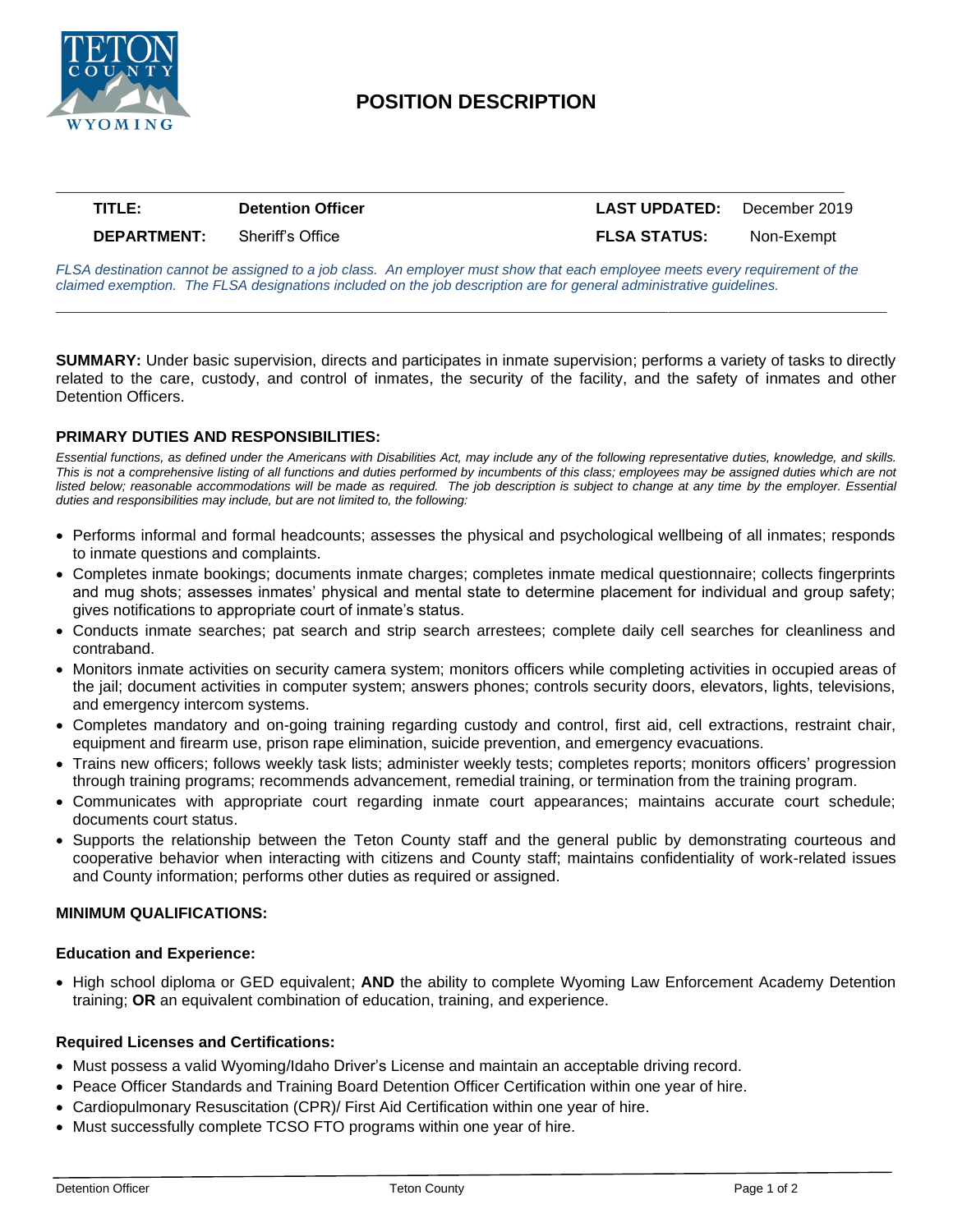

## **POSITION DESCRIPTION**

# **\_\_\_\_\_\_\_\_\_\_\_\_\_\_\_\_\_\_\_\_\_\_\_\_\_\_\_\_\_\_\_\_\_\_\_\_\_\_\_\_\_\_\_\_\_\_\_\_\_\_\_\_\_\_\_\_\_\_\_\_\_\_\_\_\_\_\_\_\_\_\_\_\_\_\_\_ TITLE: Detention Officer LAST UPDATED:** December 2019 **DEPARTMENT:** Sheriff's Office **FLSA STATUS:** Non-Exempt

*FLSA destination cannot be assigned to a job class. An employer must show that each employee meets every requirement of the claimed exemption. The FLSA designations included on the job description are for general administrative guidelines.*

**\_\_\_\_\_\_\_\_\_\_\_\_\_\_\_\_\_\_\_\_\_\_\_\_\_\_\_\_\_\_\_\_\_\_\_\_\_\_\_\_\_\_\_\_\_\_\_\_\_\_\_\_\_\_\_\_\_\_\_\_\_\_\_\_\_\_\_\_\_\_\_\_\_\_\_\_\_\_\_\_**

**SUMMARY:** Under basic supervision, directs and participates in inmate supervision; performs a variety of tasks to directly related to the care, custody, and control of inmates, the security of the facility, and the safety of inmates and other Detention Officers.

#### **PRIMARY DUTIES AND RESPONSIBILITIES:**

*Essential functions, as defined under the Americans with Disabilities Act, may include any of the following representative duties, knowledge, and skills.*  This is not a comprehensive listing of all functions and duties performed by incumbents of this class; employees may be assigned duties which are not listed below; reasonable accommodations will be made as required. The job description is subject to change at any time by the employer. Essential *duties and responsibilities may include, but are not limited to, the following:*

- Performs informal and formal headcounts; assesses the physical and psychological wellbeing of all inmates; responds to inmate questions and complaints.
- Completes inmate bookings; documents inmate charges; completes inmate medical questionnaire; collects fingerprints and mug shots; assesses inmates' physical and mental state to determine placement for individual and group safety; gives notifications to appropriate court of inmate's status.
- Conducts inmate searches; pat search and strip search arrestees; complete daily cell searches for cleanliness and contraband.
- Monitors inmate activities on security camera system; monitors officers while completing activities in occupied areas of the jail; document activities in computer system; answers phones; controls security doors, elevators, lights, televisions, and emergency intercom systems.
- Completes mandatory and on-going training regarding custody and control, first aid, cell extractions, restraint chair, equipment and firearm use, prison rape elimination, suicide prevention, and emergency evacuations.
- Trains new officers; follows weekly task lists; administer weekly tests; completes reports; monitors officers' progression through training programs; recommends advancement, remedial training, or termination from the training program.
- Communicates with appropriate court regarding inmate court appearances; maintains accurate court schedule; documents court status.
- Supports the relationship between the Teton County staff and the general public by demonstrating courteous and cooperative behavior when interacting with citizens and County staff; maintains confidentiality of work-related issues and County information; performs other duties as required or assigned.

#### **MINIMUM QUALIFICATIONS:**

#### **Education and Experience:**

• High school diploma or GED equivalent; **AND** the ability to complete Wyoming Law Enforcement Academy Detention training; **OR** an equivalent combination of education, training, and experience.

#### **Required Licenses and Certifications:**

- Must possess a valid Wyoming/Idaho Driver's License and maintain an acceptable driving record.
- Peace Officer Standards and Training Board Detention Officer Certification within one year of hire.
- Cardiopulmonary Resuscitation (CPR)/ First Aid Certification within one year of hire.
- Must successfully complete TCSO FTO programs within one year of hire.